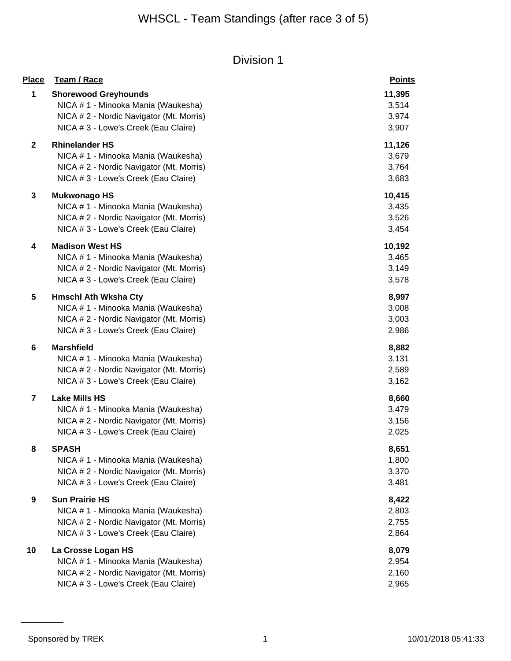| <b>Place</b>            | Team / Race                              | <b>Points</b> |
|-------------------------|------------------------------------------|---------------|
| 1                       | <b>Shorewood Greyhounds</b>              | 11,395        |
|                         | NICA # 1 - Minooka Mania (Waukesha)      | 3,514         |
|                         | NICA # 2 - Nordic Navigator (Mt. Morris) | 3,974         |
|                         | NICA # 3 - Lowe's Creek (Eau Claire)     | 3,907         |
| $\mathbf 2$             | <b>Rhinelander HS</b>                    | 11,126        |
|                         | NICA # 1 - Minooka Mania (Waukesha)      | 3,679         |
|                         | NICA #2 - Nordic Navigator (Mt. Morris)  | 3,764         |
|                         | NICA # 3 - Lowe's Creek (Eau Claire)     | 3,683         |
| 3                       | <b>Mukwonago HS</b>                      | 10,415        |
|                         | NICA # 1 - Minooka Mania (Waukesha)      | 3,435         |
|                         | NICA # 2 - Nordic Navigator (Mt. Morris) | 3,526         |
|                         | NICA # 3 - Lowe's Creek (Eau Claire)     | 3,454         |
| 4                       | <b>Madison West HS</b>                   | 10,192        |
|                         | NICA # 1 - Minooka Mania (Waukesha)      | 3,465         |
|                         | NICA # 2 - Nordic Navigator (Mt. Morris) | 3,149         |
|                         | NICA # 3 - Lowe's Creek (Eau Claire)     | 3,578         |
| 5                       | <b>Hmschl Ath Wksha Cty</b>              | 8,997         |
|                         | NICA # 1 - Minooka Mania (Waukesha)      | 3,008         |
|                         | NICA # 2 - Nordic Navigator (Mt. Morris) | 3,003         |
|                         | NICA # 3 - Lowe's Creek (Eau Claire)     | 2,986         |
| 6                       | <b>Marshfield</b>                        | 8,882         |
|                         | NICA # 1 - Minooka Mania (Waukesha)      | 3,131         |
|                         | NICA # 2 - Nordic Navigator (Mt. Morris) | 2,589         |
|                         | NICA # 3 - Lowe's Creek (Eau Claire)     | 3,162         |
| $\overline{\mathbf{r}}$ | <b>Lake Mills HS</b>                     | 8,660         |
|                         | NICA # 1 - Minooka Mania (Waukesha)      | 3,479         |
|                         | NICA # 2 - Nordic Navigator (Mt. Morris) | 3,156         |
|                         | NICA # 3 - Lowe's Creek (Eau Claire)     | 2,025         |
| 8                       | <b>SPASH</b>                             | 8,651         |
|                         | NICA # 1 - Minooka Mania (Waukesha)      | 1,800         |
|                         | NICA #2 - Nordic Navigator (Mt. Morris)  | 3,370         |
|                         | NICA # 3 - Lowe's Creek (Eau Claire)     | 3,481         |
| 9                       | <b>Sun Prairie HS</b>                    | 8,422         |
|                         | NICA # 1 - Minooka Mania (Waukesha)      | 2,803         |
|                         | NICA #2 - Nordic Navigator (Mt. Morris)  | 2,755         |
|                         | NICA # 3 - Lowe's Creek (Eau Claire)     | 2,864         |
| 10                      | La Crosse Logan HS                       | 8,079         |
|                         | NICA # 1 - Minooka Mania (Waukesha)      | 2,954         |
|                         | NICA # 2 - Nordic Navigator (Mt. Morris) | 2,160         |
|                         | NICA # 3 - Lowe's Creek (Eau Claire)     | 2,965         |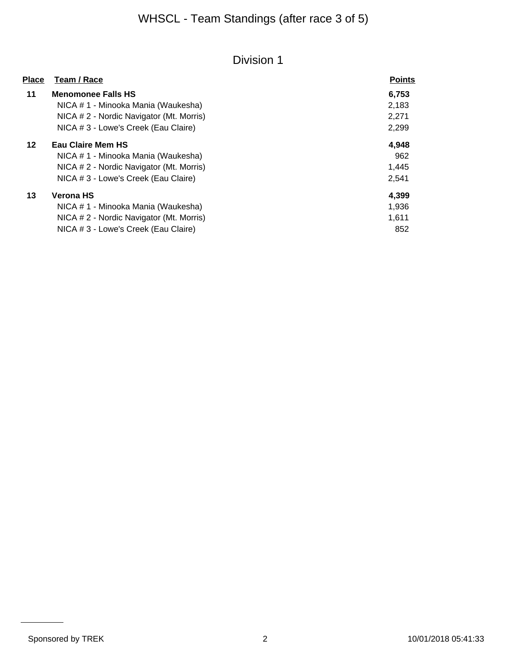| <b>Place</b> | Team / Race                              | <b>Points</b> |
|--------------|------------------------------------------|---------------|
| 11           | <b>Menomonee Falls HS</b>                | 6,753         |
|              | NICA # 1 - Minooka Mania (Waukesha)      | 2,183         |
|              | NICA # 2 - Nordic Navigator (Mt. Morris) | 2,271         |
|              | NICA # 3 - Lowe's Creek (Eau Claire)     | 2,299         |
| 12           | <b>Eau Claire Mem HS</b>                 | 4,948         |
|              | NICA # 1 - Minooka Mania (Waukesha)      | 962           |
|              | NICA # 2 - Nordic Navigator (Mt. Morris) | 1,445         |
|              | NICA # 3 - Lowe's Creek (Eau Claire)     | 2,541         |
| 13           | <b>Verona HS</b>                         | 4,399         |
|              | NICA # 1 - Minooka Mania (Waukesha)      | 1,936         |
|              | NICA # 2 - Nordic Navigator (Mt. Morris) | 1,611         |
|              | NICA # 3 - Lowe's Creek (Eau Claire)     | 852           |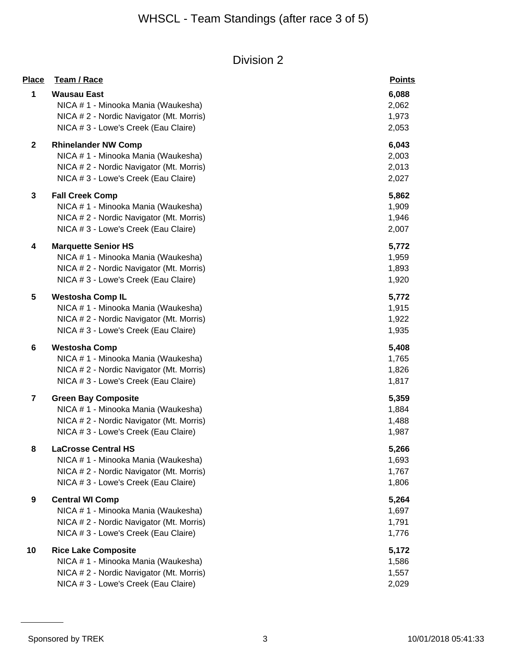| <u>Place</u>            | Team / Race                                                                                                                                           | <b>Points</b>                    |
|-------------------------|-------------------------------------------------------------------------------------------------------------------------------------------------------|----------------------------------|
| 1                       | <b>Wausau East</b><br>NICA # 1 - Minooka Mania (Waukesha)<br>NICA # 2 - Nordic Navigator (Mt. Morris)<br>NICA # 3 - Lowe's Creek (Eau Claire)         | 6,088<br>2,062<br>1,973<br>2,053 |
| $\mathbf{2}$            | <b>Rhinelander NW Comp</b><br>NICA # 1 - Minooka Mania (Waukesha)<br>NICA # 2 - Nordic Navigator (Mt. Morris)<br>NICA # 3 - Lowe's Creek (Eau Claire) | 6,043<br>2,003<br>2,013<br>2,027 |
| $\mathbf{3}$            | <b>Fall Creek Comp</b><br>NICA # 1 - Minooka Mania (Waukesha)<br>NICA # 2 - Nordic Navigator (Mt. Morris)<br>NICA # 3 - Lowe's Creek (Eau Claire)     | 5,862<br>1,909<br>1,946<br>2,007 |
| 4                       | <b>Marquette Senior HS</b><br>NICA # 1 - Minooka Mania (Waukesha)<br>NICA # 2 - Nordic Navigator (Mt. Morris)<br>NICA # 3 - Lowe's Creek (Eau Claire) | 5,772<br>1,959<br>1,893<br>1,920 |
| 5                       | <b>Westosha Comp IL</b><br>NICA # 1 - Minooka Mania (Waukesha)<br>NICA # 2 - Nordic Navigator (Mt. Morris)<br>NICA # 3 - Lowe's Creek (Eau Claire)    | 5,772<br>1,915<br>1,922<br>1,935 |
| 6                       | <b>Westosha Comp</b><br>NICA # 1 - Minooka Mania (Waukesha)<br>NICA # 2 - Nordic Navigator (Mt. Morris)<br>NICA # 3 - Lowe's Creek (Eau Claire)       | 5,408<br>1,765<br>1,826<br>1,817 |
| $\overline{\mathbf{r}}$ | <b>Green Bay Composite</b><br>NICA # 1 - Minooka Mania (Waukesha)<br>NICA # 2 - Nordic Navigator (Mt. Morris)<br>NICA # 3 - Lowe's Creek (Eau Claire) | 5,359<br>1,884<br>1,488<br>1,987 |
| 8                       | <b>LaCrosse Central HS</b><br>NICA # 1 - Minooka Mania (Waukesha)<br>NICA # 2 - Nordic Navigator (Mt. Morris)<br>NICA # 3 - Lowe's Creek (Eau Claire) | 5,266<br>1,693<br>1,767<br>1,806 |
| 9                       | <b>Central WI Comp</b><br>NICA # 1 - Minooka Mania (Waukesha)<br>NICA #2 - Nordic Navigator (Mt. Morris)<br>NICA # 3 - Lowe's Creek (Eau Claire)      | 5,264<br>1,697<br>1,791<br>1,776 |
| 10                      | <b>Rice Lake Composite</b><br>NICA # 1 - Minooka Mania (Waukesha)<br>NICA # 2 - Nordic Navigator (Mt. Morris)<br>NICA # 3 - Lowe's Creek (Eau Claire) | 5,172<br>1,586<br>1,557<br>2,029 |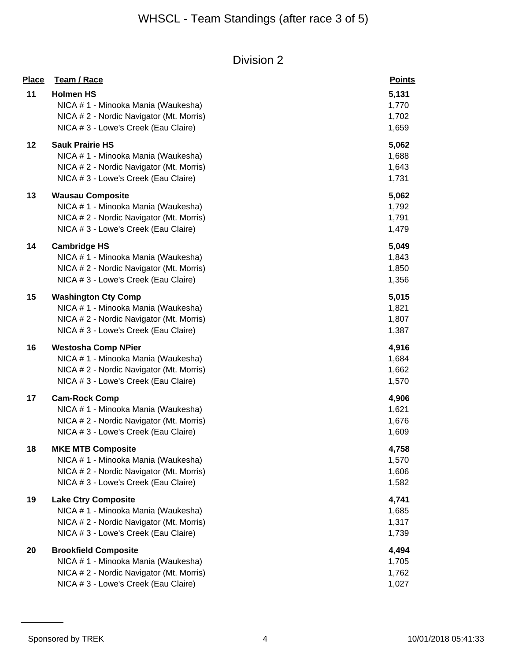| <b>Place</b> | Team / Race                                                                                                                                            | <b>Points</b>                    |
|--------------|--------------------------------------------------------------------------------------------------------------------------------------------------------|----------------------------------|
| 11           | <b>Holmen HS</b><br>NICA #1 - Minooka Mania (Waukesha)<br>NICA # 2 - Nordic Navigator (Mt. Morris)<br>NICA # 3 - Lowe's Creek (Eau Claire)             | 5,131<br>1,770<br>1,702<br>1,659 |
| 12           | <b>Sauk Prairie HS</b><br>NICA # 1 - Minooka Mania (Waukesha)<br>NICA # 2 - Nordic Navigator (Mt. Morris)<br>NICA # 3 - Lowe's Creek (Eau Claire)      | 5,062<br>1,688<br>1,643<br>1,731 |
| 13           | <b>Wausau Composite</b><br>NICA # 1 - Minooka Mania (Waukesha)<br>NICA # 2 - Nordic Navigator (Mt. Morris)<br>NICA # 3 - Lowe's Creek (Eau Claire)     | 5,062<br>1,792<br>1,791<br>1,479 |
| 14           | <b>Cambridge HS</b><br>NICA # 1 - Minooka Mania (Waukesha)<br>NICA # 2 - Nordic Navigator (Mt. Morris)<br>NICA # 3 - Lowe's Creek (Eau Claire)         | 5,049<br>1,843<br>1,850<br>1,356 |
| 15           | <b>Washington Cty Comp</b><br>NICA # 1 - Minooka Mania (Waukesha)<br>NICA # 2 - Nordic Navigator (Mt. Morris)<br>NICA # 3 - Lowe's Creek (Eau Claire)  | 5,015<br>1,821<br>1,807<br>1,387 |
| 16           | <b>Westosha Comp NPier</b><br>NICA # 1 - Minooka Mania (Waukesha)<br>NICA # 2 - Nordic Navigator (Mt. Morris)<br>NICA # 3 - Lowe's Creek (Eau Claire)  | 4,916<br>1,684<br>1,662<br>1,570 |
| 17           | <b>Cam-Rock Comp</b><br>NICA #1 - Minooka Mania (Waukesha)<br>NICA # 2 - Nordic Navigator (Mt. Morris)<br>NICA # 3 - Lowe's Creek (Eau Claire)         | 4,906<br>1,621<br>1,676<br>1,609 |
| 18           | <b>MKE MTB Composite</b><br>NICA # 1 - Minooka Mania (Waukesha)<br>NICA # 2 - Nordic Navigator (Mt. Morris)<br>NICA # 3 - Lowe's Creek (Eau Claire)    | 4,758<br>1,570<br>1,606<br>1,582 |
| 19           | <b>Lake Ctry Composite</b><br>NICA # 1 - Minooka Mania (Waukesha)<br>NICA # 2 - Nordic Navigator (Mt. Morris)<br>NICA # 3 - Lowe's Creek (Eau Claire)  | 4,741<br>1,685<br>1,317<br>1,739 |
| 20           | <b>Brookfield Composite</b><br>NICA # 1 - Minooka Mania (Waukesha)<br>NICA # 2 - Nordic Navigator (Mt. Morris)<br>NICA # 3 - Lowe's Creek (Eau Claire) | 4,494<br>1,705<br>1,762<br>1,027 |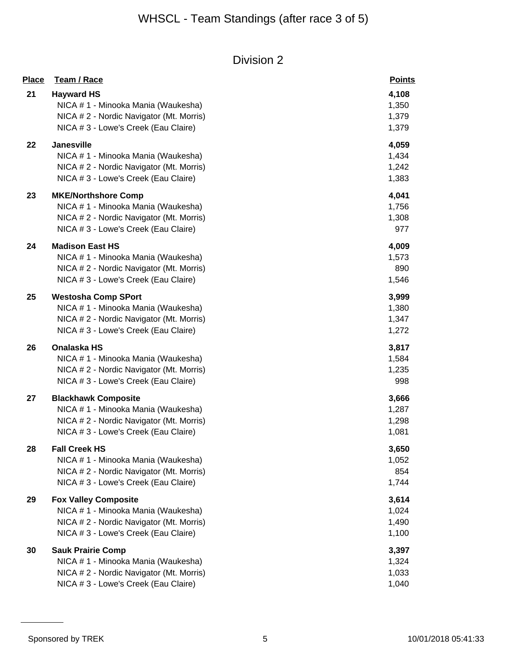| <b>Place</b> | Team / Race                                              | <b>Points</b>  |
|--------------|----------------------------------------------------------|----------------|
| 21           | <b>Hayward HS</b><br>NICA # 1 - Minooka Mania (Waukesha) | 4,108<br>1,350 |
|              | NICA # 2 - Nordic Navigator (Mt. Morris)                 | 1,379          |
|              | NICA # 3 - Lowe's Creek (Eau Claire)                     | 1,379          |
| 22           | Janesville                                               | 4,059          |
|              | NICA # 1 - Minooka Mania (Waukesha)                      | 1,434          |
|              | NICA # 2 - Nordic Navigator (Mt. Morris)                 | 1,242          |
|              | NICA # 3 - Lowe's Creek (Eau Claire)                     | 1,383          |
| 23           | <b>MKE/Northshore Comp</b>                               | 4,041          |
|              | NICA # 1 - Minooka Mania (Waukesha)                      | 1,756          |
|              | NICA # 2 - Nordic Navigator (Mt. Morris)                 | 1,308          |
|              | NICA # 3 - Lowe's Creek (Eau Claire)                     | 977            |
| 24           | <b>Madison East HS</b>                                   | 4,009          |
|              | NICA # 1 - Minooka Mania (Waukesha)                      | 1,573          |
|              | NICA # 2 - Nordic Navigator (Mt. Morris)                 | 890            |
|              | NICA # 3 - Lowe's Creek (Eau Claire)                     | 1,546          |
| 25           | <b>Westosha Comp SPort</b>                               | 3,999          |
|              | NICA # 1 - Minooka Mania (Waukesha)                      | 1,380          |
|              | NICA # 2 - Nordic Navigator (Mt. Morris)                 | 1,347          |
|              | NICA # 3 - Lowe's Creek (Eau Claire)                     | 1,272          |
| 26           | Onalaska HS                                              | 3,817          |
|              | NICA # 1 - Minooka Mania (Waukesha)                      | 1,584          |
|              | NICA # 2 - Nordic Navigator (Mt. Morris)                 | 1,235          |
|              | NICA # 3 - Lowe's Creek (Eau Claire)                     | 998            |
| 27           | <b>Blackhawk Composite</b>                               | 3,666          |
|              | NICA #1 - Minooka Mania (Waukesha)                       | 1,287          |
|              | NICA # 2 - Nordic Navigator (Mt. Morris)                 | 1,298          |
|              | NICA # 3 - Lowe's Creek (Eau Claire)                     | 1,081          |
| 28           | <b>Fall Creek HS</b>                                     | 3,650          |
|              | NICA # 1 - Minooka Mania (Waukesha)                      | 1,052          |
|              | NICA # 2 - Nordic Navigator (Mt. Morris)                 | 854            |
|              | NICA # 3 - Lowe's Creek (Eau Claire)                     | 1,744          |
| 29           | <b>Fox Valley Composite</b>                              | 3,614          |
|              | NICA # 1 - Minooka Mania (Waukesha)                      | 1,024          |
|              | NICA #2 - Nordic Navigator (Mt. Morris)                  | 1,490          |
|              | NICA # 3 - Lowe's Creek (Eau Claire)                     | 1,100          |
| 30           | <b>Sauk Prairie Comp</b>                                 | 3,397          |
|              | NICA # 1 - Minooka Mania (Waukesha)                      | 1,324          |
|              | NICA # 2 - Nordic Navigator (Mt. Morris)                 | 1,033          |
|              | NICA # 3 - Lowe's Creek (Eau Claire)                     | 1,040          |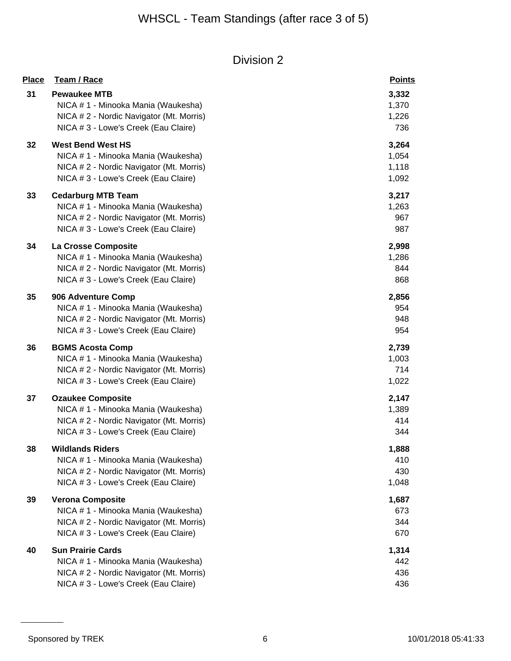| <b>Place</b> | Team / Race                              | <b>Points</b> |
|--------------|------------------------------------------|---------------|
| 31           | <b>Pewaukee MTB</b>                      | 3,332         |
|              | NICA #1 - Minooka Mania (Waukesha)       | 1,370         |
|              | NICA # 2 - Nordic Navigator (Mt. Morris) | 1,226         |
|              | NICA # 3 - Lowe's Creek (Eau Claire)     | 736           |
| 32           | <b>West Bend West HS</b>                 | 3,264         |
|              | NICA # 1 - Minooka Mania (Waukesha)      | 1,054         |
|              | NICA # 2 - Nordic Navigator (Mt. Morris) | 1,118         |
|              | NICA # 3 - Lowe's Creek (Eau Claire)     | 1,092         |
| 33           | <b>Cedarburg MTB Team</b>                | 3,217         |
|              | NICA # 1 - Minooka Mania (Waukesha)      | 1,263         |
|              | NICA # 2 - Nordic Navigator (Mt. Morris) | 967           |
|              | NICA # 3 - Lowe's Creek (Eau Claire)     | 987           |
| 34           | La Crosse Composite                      | 2,998         |
|              | NICA # 1 - Minooka Mania (Waukesha)      | 1,286         |
|              | NICA # 2 - Nordic Navigator (Mt. Morris) | 844           |
|              | NICA # 3 - Lowe's Creek (Eau Claire)     | 868           |
| 35           | 906 Adventure Comp                       | 2,856         |
|              | NICA #1 - Minooka Mania (Waukesha)       | 954           |
|              | NICA # 2 - Nordic Navigator (Mt. Morris) | 948           |
|              | NICA # 3 - Lowe's Creek (Eau Claire)     | 954           |
| 36           | <b>BGMS Acosta Comp</b>                  | 2,739         |
|              | NICA #1 - Minooka Mania (Waukesha)       | 1,003         |
|              | NICA # 2 - Nordic Navigator (Mt. Morris) | 714           |
|              | NICA # 3 - Lowe's Creek (Eau Claire)     | 1,022         |
| 37           | <b>Ozaukee Composite</b>                 | 2,147         |
|              | NICA # 1 - Minooka Mania (Waukesha)      | 1,389         |
|              | NICA # 2 - Nordic Navigator (Mt. Morris) | 414           |
|              | NICA # 3 - Lowe's Creek (Eau Claire)     | 344           |
| 38           | <b>Wildlands Riders</b>                  | 1,888         |
|              | NICA #1 - Minooka Mania (Waukesha)       | 410           |
|              | NICA # 2 - Nordic Navigator (Mt. Morris) | 430           |
|              | NICA # 3 - Lowe's Creek (Eau Claire)     | 1,048         |
| 39           | <b>Verona Composite</b>                  | 1,687         |
|              | NICA # 1 - Minooka Mania (Waukesha)      | 673           |
|              | NICA # 2 - Nordic Navigator (Mt. Morris) | 344           |
|              | NICA # 3 - Lowe's Creek (Eau Claire)     | 670           |
| 40           | <b>Sun Prairie Cards</b>                 | 1,314         |
|              | NICA # 1 - Minooka Mania (Waukesha)      | 442           |
|              | NICA # 2 - Nordic Navigator (Mt. Morris) | 436           |
|              | NICA # 3 - Lowe's Creek (Eau Claire)     | 436           |